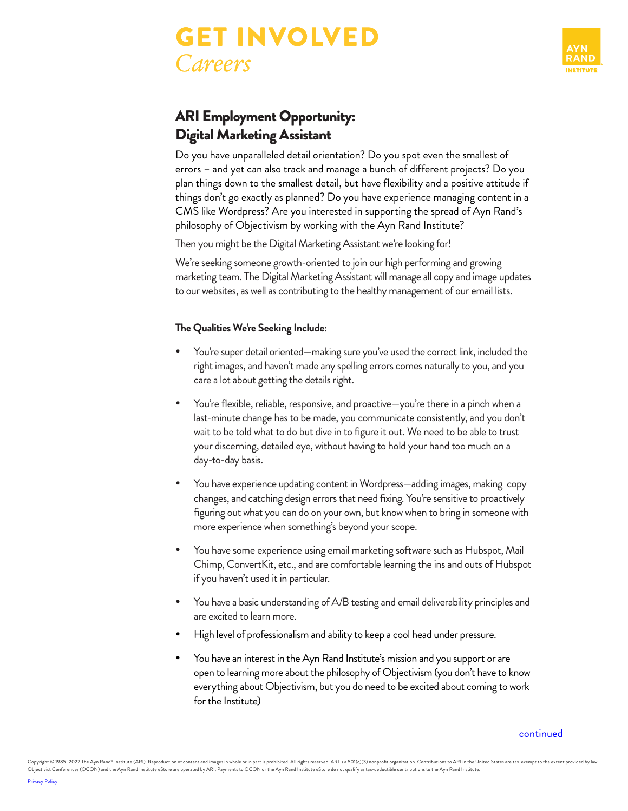



## ARI Employment Opportunity: Digital Marketing Assistant

Do you have unparalleled detail orientation? Do you spot even the smallest of errors – and yet can also track and manage a bunch of different projects? Do you plan things down to the smallest detail, but have flexibility and a positive attitude if things don't go exactly as planned? Do you have experience managing content in a CMS like Wordpress? Are you interested in supporting the spread of Ayn Rand's philosophy of Objectivism by working with the Ayn Rand Institute?

Then you might be the Digital Marketing Assistant we're looking for!

We're seeking someone growth-oriented to join our high performing and growing marketing team. The Digital Marketing Assistant will manage all copy and image updates to our websites, as well as contributing to the healthy management of our email lists.

### **The Qualities We're Seeking Include:**

- You're super detail oriented—making sure you've used the correct link, included the right images, and haven't made any spelling errors comes naturally to you, and you care a lot about getting the details right.
- You're flexible, reliable, responsive, and proactive—you're there in a pinch when a last-minute change has to be made, you communicate consistently, and you don't wait to be told what to do but dive in to figure it out. We need to be able to trust your discerning, detailed eye, without having to hold your hand too much on a day-to-day basis.
- You have experience updating content in Wordpress—adding images, making copy changes, and catching design errors that need fixing. You're sensitive to proactively figuring out what you can do on your own, but know when to bring in someone with more experience when something's beyond your scope.
- You have some experience using email marketing software such as Hubspot, Mail Chimp, ConvertKit, etc., and are comfortable learning the ins and outs of Hubspot if you haven't used it in particular.
- You have a basic understanding of A/B testing and email deliverability principles and are excited to learn more.
- High level of professionalism and ability to keep a cool head under pressure.
- You have an interest in the Ayn Rand Institute's mission and you support or are open to learning more about the philosophy of Objectivism (you don't have to know everything about Objectivism, but you do need to be excited about coming to work for the Institute)

[continued](#page-1-0)

Copyright © 1985-2022 The Ayn Rand® Institute (ARI). Reproduction of content and images in whole or in part is prohibited. All rights reserved. ARI is a 501(c)(3) nonprofit organization. Contributions to ARI in the United Objectivist Conferences (OCON) and the Ayn Rand Institute eStore are operated by ARI. Payments to OCON or the Ayn Rand Institute eStore do not qualify as tax-deductible contributions to the Ayn Rand Institute.